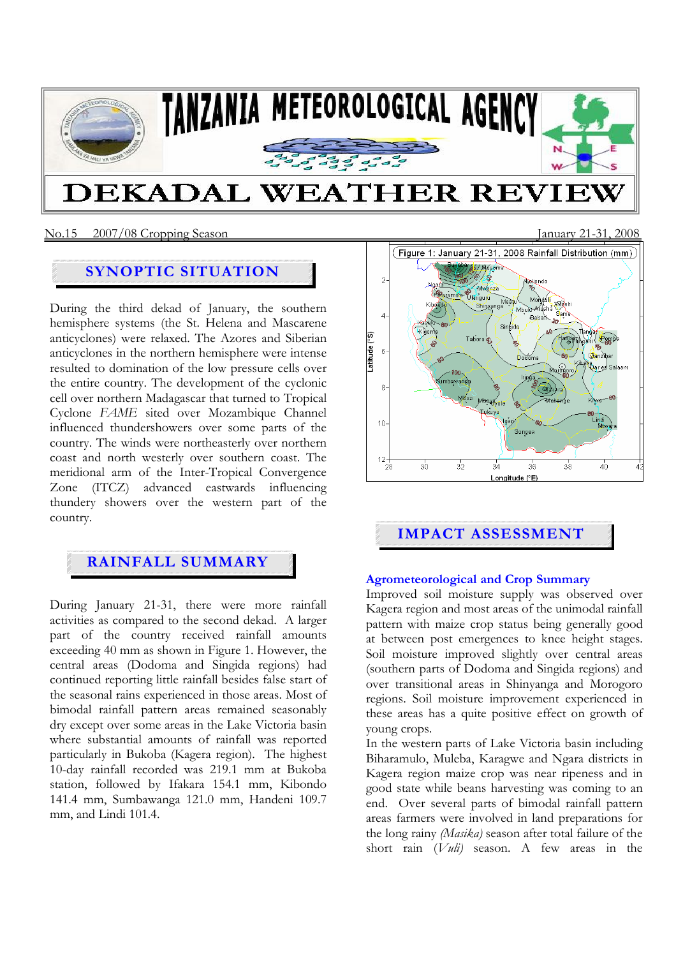

# **SYNOPTIC SITUATION**

During the third dekad of January, the southern hemisphere systems (the St. Helena and Mascarene anticyclones) were relaxed. The Azores and Siberian anticyclones in the northern hemisphere were intense resulted to domination of the low pressure cells over the entire country. The development of the cyclonic cell over northern Madagascar that turned to Tropical Cyclone *FAME* sited over Mozambique Channel influenced thundershowers over some parts of the country. The winds were northeasterly over northern coast and north westerly over southern coast. The meridional arm of the Inter-Tropical Convergence Zone (ITCZ) advanced eastwards influencing thundery showers over the western part of the country.

# **RAINFALL SUMMARY**

During January 21-31, there were more rainfall activities as compared to the second dekad. A larger part of the country received rainfall amounts exceeding 40 mm as shown in Figure 1. However, the central areas (Dodoma and Singida regions) had continued reporting little rainfall besides false start of the seasonal rains experienced in those areas. Most of bimodal rainfall pattern areas remained seasonably dry except over some areas in the Lake Victoria basin where substantial amounts of rainfall was reported particularly in Bukoba (Kagera region). The highest 10-day rainfall recorded was 219.1 mm at Bukoba station, followed by Ifakara 154.1 mm, Kibondo 141.4 mm, Sumbawanga 121.0 mm, Handeni 109.7 mm, and Lindi 101.4.



# **IMPACT ASSESSMENT**

## **Agrometeorological and Crop Summary**

Improved soil moisture supply was observed over Kagera region and most areas of the unimodal rainfall pattern with maize crop status being generally good at between post emergences to knee height stages. Soil moisture improved slightly over central areas (southern parts of Dodoma and Singida regions) and over transitional areas in Shinyanga and Morogoro regions. Soil moisture improvement experienced in these areas has a quite positive effect on growth of young crops.

In the western parts of Lake Victoria basin including Biharamulo, Muleba, Karagwe and Ngara districts in Kagera region maize crop was near ripeness and in good state while beans harvesting was coming to an end. Over several parts of bimodal rainfall pattern areas farmers were involved in land preparations for the long rainy *(Masika)* season after total failure of the short rain (*Vuli)* season. A few areas in the